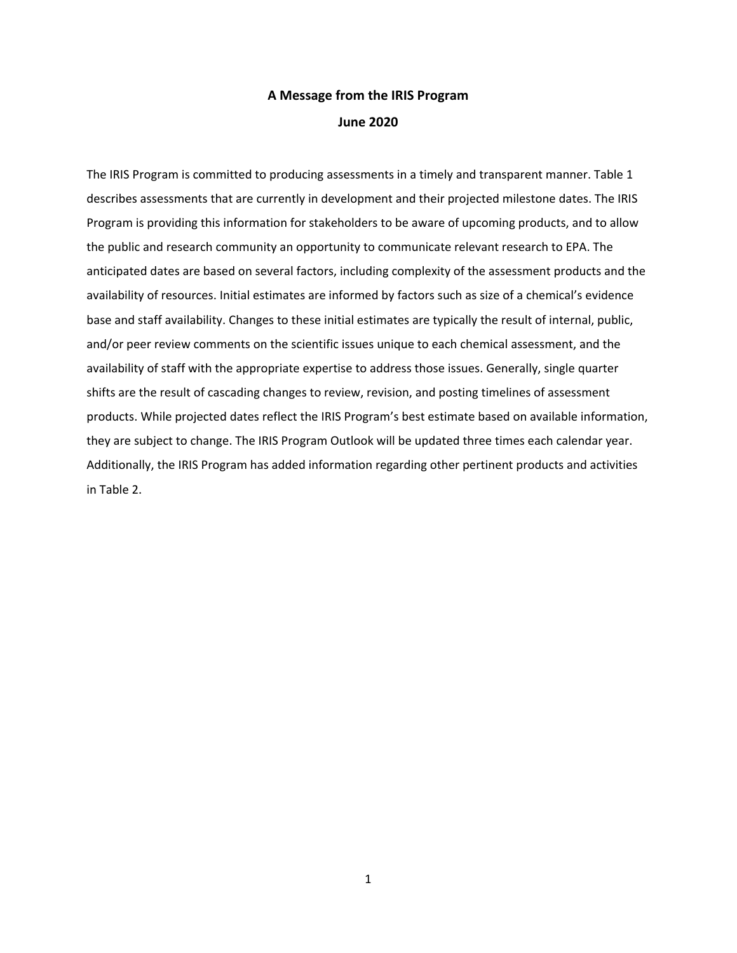## **A Message from the IRIS Program June 2020**

The IRIS Program is committed to producing assessments in a timely and transparent manner. Table 1 describes assessments that are currently in development and their projected milestone dates. The IRIS Program is providing this information for stakeholders to be aware of upcoming products, and to allow the public and research community an opportunity to communicate relevant research to EPA. The anticipated dates are based on several factors, including complexity of the assessment products and the availability of resources. Initial estimates are informed by factors such as size of a chemical's evidence base and staff availability. Changes to these initial estimates are typically the result of internal, public, and/or peer review comments on the scientific issues unique to each chemical assessment, and the availability of staff with the appropriate expertise to address those issues. Generally, single quarter shifts are the result of cascading changes to review, revision, and posting timelines of assessment products. While projected dates reflect the IRIS Program's best estimate based on available information, they are subject to change. The IRIS Program Outlook will be updated three times each calendar year. Additionally, the IRIS Program has added information regarding other pertinent products and activities in Table 2.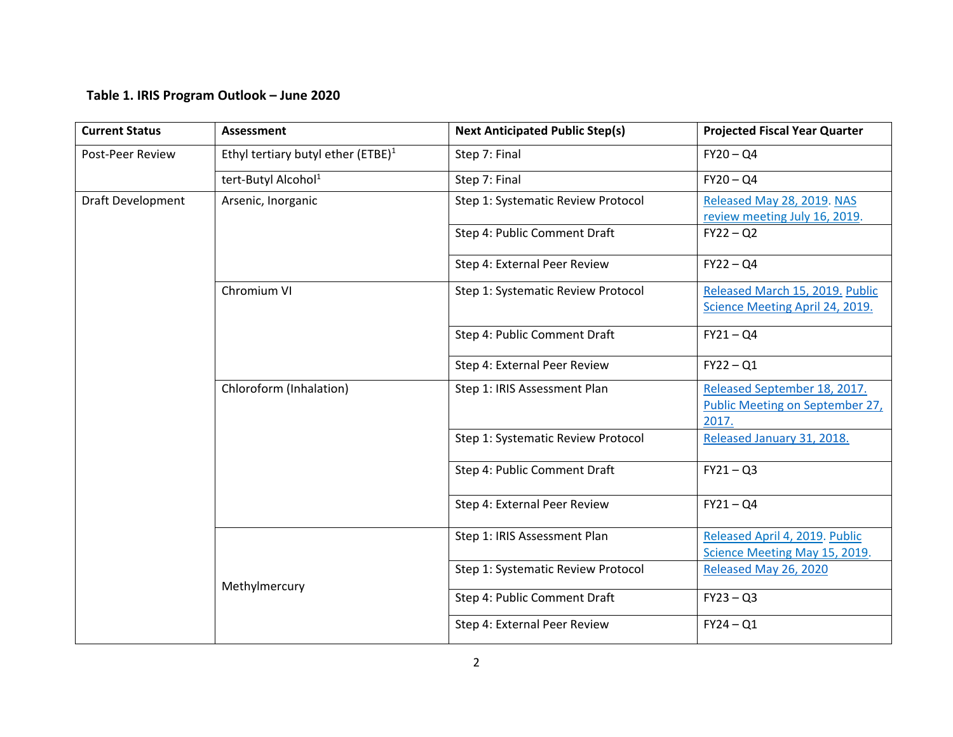## **Table 1. IRIS Program Outlook – June 2020**

| <b>Current Status</b>    | <b>Assessment</b>                              | <b>Next Anticipated Public Step(s)</b> | <b>Projected Fiscal Year Quarter</b>                                     |
|--------------------------|------------------------------------------------|----------------------------------------|--------------------------------------------------------------------------|
| Post-Peer Review         | Ethyl tertiary butyl ether (ETBE) <sup>1</sup> | Step 7: Final                          | $FY20 - QA$                                                              |
|                          | tert-Butyl Alcohol <sup>1</sup>                | Step 7: Final                          | $FY20 - Q4$                                                              |
| <b>Draft Development</b> | Arsenic, Inorganic                             | Step 1: Systematic Review Protocol     | Released May 28, 2019. NAS<br>review meeting July 16, 2019.              |
|                          |                                                | Step 4: Public Comment Draft           | $FY22 - Q2$                                                              |
|                          |                                                | Step 4: External Peer Review           | $FY22 - Q4$                                                              |
|                          | Chromium VI                                    | Step 1: Systematic Review Protocol     | Released March 15, 2019. Public                                          |
|                          |                                                |                                        | Science Meeting April 24, 2019.                                          |
|                          |                                                | Step 4: Public Comment Draft           | $FY21 - Q4$                                                              |
|                          |                                                | Step 4: External Peer Review           | $FY22 - Q1$                                                              |
|                          | Chloroform (Inhalation)                        | Step 1: IRIS Assessment Plan           | Released September 18, 2017.<br>Public Meeting on September 27,<br>2017. |
|                          |                                                | Step 1: Systematic Review Protocol     | Released January 31, 2018.                                               |
|                          |                                                | Step 4: Public Comment Draft           | $FY21 - Q3$                                                              |
|                          |                                                | Step 4: External Peer Review           | $FY21 - Q4$                                                              |
|                          |                                                | Step 1: IRIS Assessment Plan           | Released April 4, 2019. Public<br>Science Meeting May 15, 2019.          |
|                          | Methylmercury                                  | Step 1: Systematic Review Protocol     | Released May 26, 2020                                                    |
|                          |                                                | Step 4: Public Comment Draft           | $FY23 - Q3$                                                              |
|                          |                                                | Step 4: External Peer Review           | $FY24 - Q1$                                                              |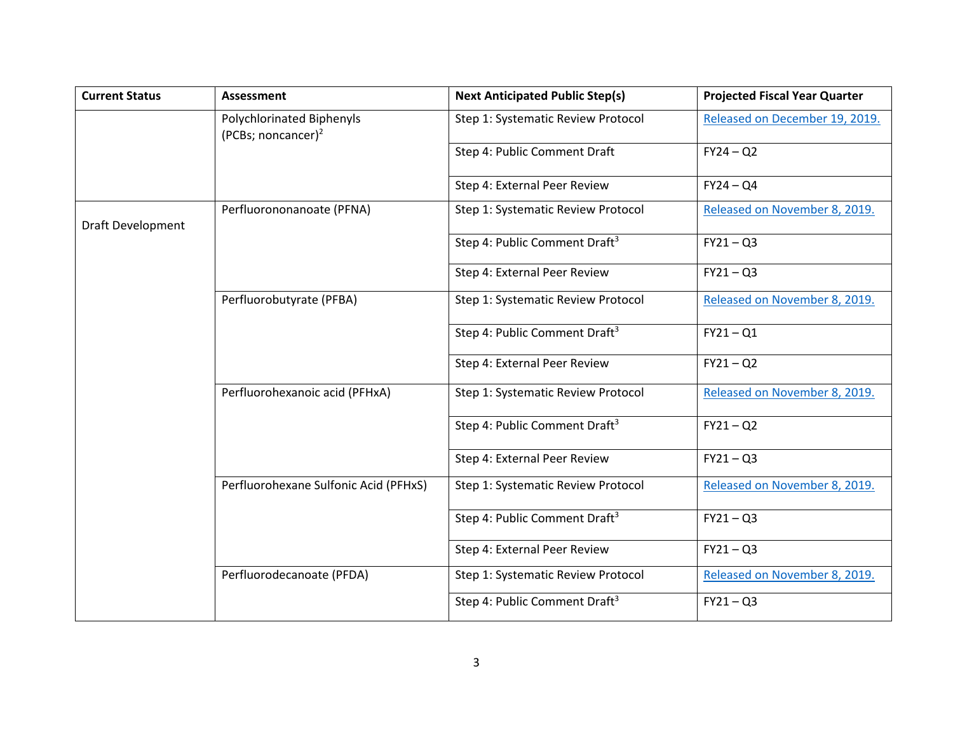| <b>Current Status</b> | <b>Assessment</b>                                           | <b>Next Anticipated Public Step(s)</b>    | <b>Projected Fiscal Year Quarter</b> |
|-----------------------|-------------------------------------------------------------|-------------------------------------------|--------------------------------------|
|                       | Polychlorinated Biphenyls<br>(PCBs; noncancer) <sup>2</sup> | Step 1: Systematic Review Protocol        | Released on December 19, 2019.       |
|                       |                                                             | Step 4: Public Comment Draft              | $FY24 - Q2$                          |
|                       |                                                             | Step 4: External Peer Review              | $FY24 - Q4$                          |
| Draft Development     | Perfluorononanoate (PFNA)                                   | Step 1: Systematic Review Protocol        | Released on November 8, 2019.        |
|                       |                                                             | Step 4: Public Comment Draft <sup>3</sup> | $FY21 - Q3$                          |
|                       |                                                             | Step 4: External Peer Review              | $FY21 - Q3$                          |
|                       | Perfluorobutyrate (PFBA)                                    | Step 1: Systematic Review Protocol        | Released on November 8, 2019.        |
|                       |                                                             | Step 4: Public Comment Draft <sup>3</sup> | $FY21 - Q1$                          |
|                       |                                                             | Step 4: External Peer Review              | $FY21 - Q2$                          |
|                       | Perfluorohexanoic acid (PFHxA)                              | Step 1: Systematic Review Protocol        | Released on November 8, 2019.        |
|                       |                                                             | Step 4: Public Comment Draft <sup>3</sup> | $FY21 - Q2$                          |
|                       |                                                             | Step 4: External Peer Review              | $FY21 - Q3$                          |
|                       | Perfluorohexane Sulfonic Acid (PFHxS)                       | Step 1: Systematic Review Protocol        | Released on November 8, 2019.        |
|                       |                                                             | Step 4: Public Comment Draft <sup>3</sup> | $FY21 - Q3$                          |
|                       |                                                             | Step 4: External Peer Review              | $FY21 - Q3$                          |
|                       | Perfluorodecanoate (PFDA)                                   | Step 1: Systematic Review Protocol        | Released on November 8, 2019.        |
|                       |                                                             | Step 4: Public Comment Draft <sup>3</sup> | $FY21 - Q3$                          |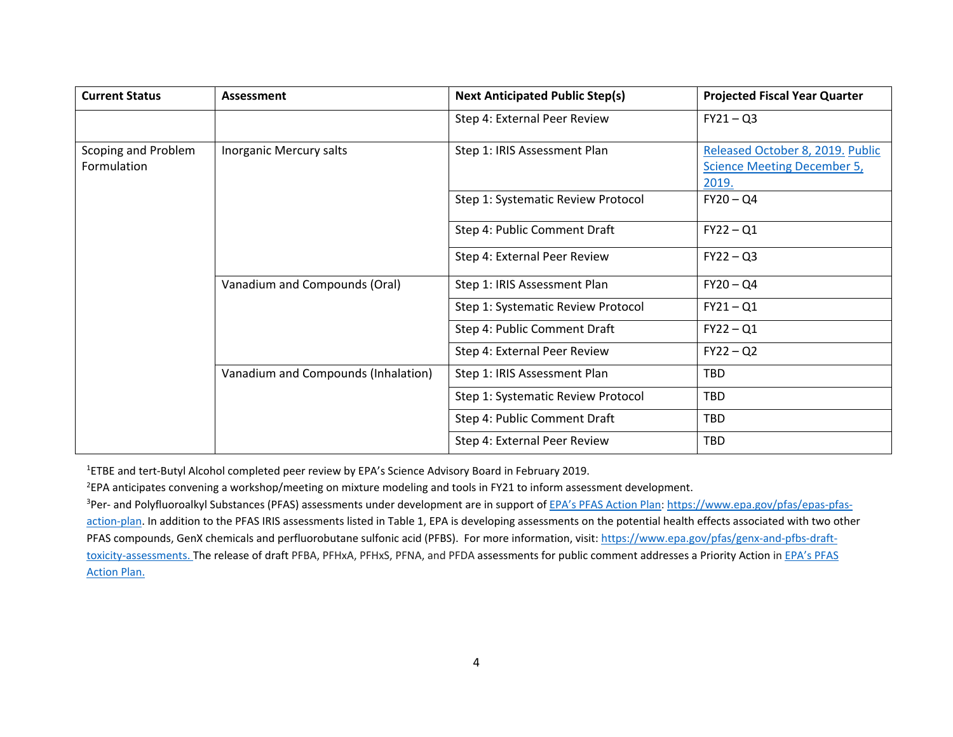| <b>Current Status</b>              | Assessment                          | <b>Next Anticipated Public Step(s)</b> | <b>Projected Fiscal Year Quarter</b>                                            |
|------------------------------------|-------------------------------------|----------------------------------------|---------------------------------------------------------------------------------|
|                                    |                                     | Step 4: External Peer Review           | $FY21 - Q3$                                                                     |
| Scoping and Problem<br>Formulation | Inorganic Mercury salts             | Step 1: IRIS Assessment Plan           | Released October 8, 2019. Public<br><b>Science Meeting December 5,</b><br>2019. |
|                                    |                                     | Step 1: Systematic Review Protocol     | $FY20 - QA$                                                                     |
|                                    |                                     | Step 4: Public Comment Draft           | $FY22 - Q1$                                                                     |
|                                    |                                     | Step 4: External Peer Review           | $FY22 - Q3$                                                                     |
|                                    | Vanadium and Compounds (Oral)       | Step 1: IRIS Assessment Plan           | $FY20 - QA$                                                                     |
|                                    |                                     | Step 1: Systematic Review Protocol     | $FY21 - Q1$                                                                     |
|                                    |                                     | Step 4: Public Comment Draft           | $FY22 - Q1$                                                                     |
|                                    |                                     | Step 4: External Peer Review           | $FY22 - Q2$                                                                     |
|                                    | Vanadium and Compounds (Inhalation) | Step 1: IRIS Assessment Plan           | <b>TBD</b>                                                                      |
|                                    |                                     | Step 1: Systematic Review Protocol     | <b>TBD</b>                                                                      |
|                                    |                                     | Step 4: Public Comment Draft           | <b>TBD</b>                                                                      |
|                                    |                                     | Step 4: External Peer Review           | TBD                                                                             |

<sup>1</sup>ETBE and tert-Butyl Alcohol completed peer review by EPA's Science Advisory Board in February 2019.

2 EPA anticipates convening a workshop/meeting on mixture modeling and tools in FY21 to inform assessment development.

<sup>3</sup>Per- and Polyfluoroalkyl Substances (PFAS) assessments under development are in support of EPA's PFAS Action Plan[: https://www.epa.gov/pfas/epas-pfas](https://www.epa.gov/pfas/epas-pfas-action-plan)[action-plan.](https://www.epa.gov/pfas/epas-pfas-action-plan) In addition to the PFAS IRIS assessments listed in Table 1, EPA is developing assessments on the potential health effects associated with two other PFAS compounds, GenX chemicals and perfluorobutane sulfonic acid (PFBS). For more information, visit[: https://www.epa.gov/pfas/genx-and-pfbs-draft](https://www.epa.gov/pfas/genx-and-pfbs-draft-toxicity-assessments)[toxicity-assessments.](https://www.epa.gov/pfas/genx-and-pfbs-draft-toxicity-assessments) The release of draft PFBA, PFHxA, PFHxS, PFNA, and PFDA assessments for public comment addresses a Priority Action in EPA's PFAS [Action Plan.](https://www.epa.gov/sites/production/files/2019-02/documents/pfas_action_plan_021319_508compliant_1.pdf)